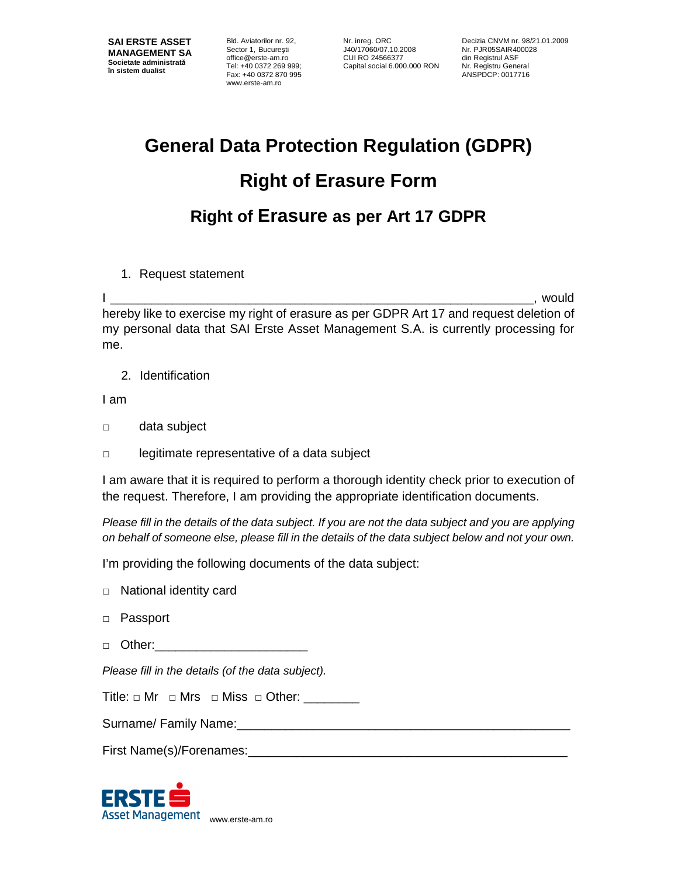Bld. Aviatorilor nr. 92, Sector 1, Bucureşti office@erste-am.ro Tel: +40 0372 269 999; Fax: +40 0372 870 995 www.erste-am.ro

Nr. inreg. ORC J40/17060/07.10.2008 CUI RO 24566377 Capital social 6.000.000 RON

Decizia CNVM nr. 98/21.01.2009 Nr. PJR05SAIR400028 din Registrul ASF Nr. Registru General ANSPDCP: 0017716

## **General Data Protection Regulation (GDPR) Right of Erasure Form Right of Erasure as per Art 17 GDPR**

1. Request statement

I \_\_\_\_\_\_\_\_\_\_\_\_\_\_\_\_\_\_\_\_\_\_\_\_\_\_\_\_\_\_\_\_\_\_\_\_\_\_\_\_\_\_\_\_\_\_\_\_\_\_\_\_\_\_\_\_\_\_\_\_\_, would hereby like to exercise my right of erasure as per GDPR Art 17 and request deletion of my personal data that SAI Erste Asset Management S.A. is currently processing for me.

2. Identification

I am

- □ data subject
- □ legitimate representative of a data subject

I am aware that it is required to perform a thorough identity check prior to execution of the request. Therefore, I am providing the appropriate identification documents.

Please fill in the details of the data subject. If you are not the data subject and you are applying on behalf of someone else, please fill in the details of the data subject below and not your own.

I'm providing the following documents of the data subject:

- □ National identity card
- □ Passport
- □ Other:

Please fill in the details (of the data subject).

Title:  $\Box$  Mr  $\Box$  Mrs  $\Box$  Miss  $\Box$  Other: \_\_\_\_\_\_

Surname/ Family Name:

First Name(s)/Forenames:

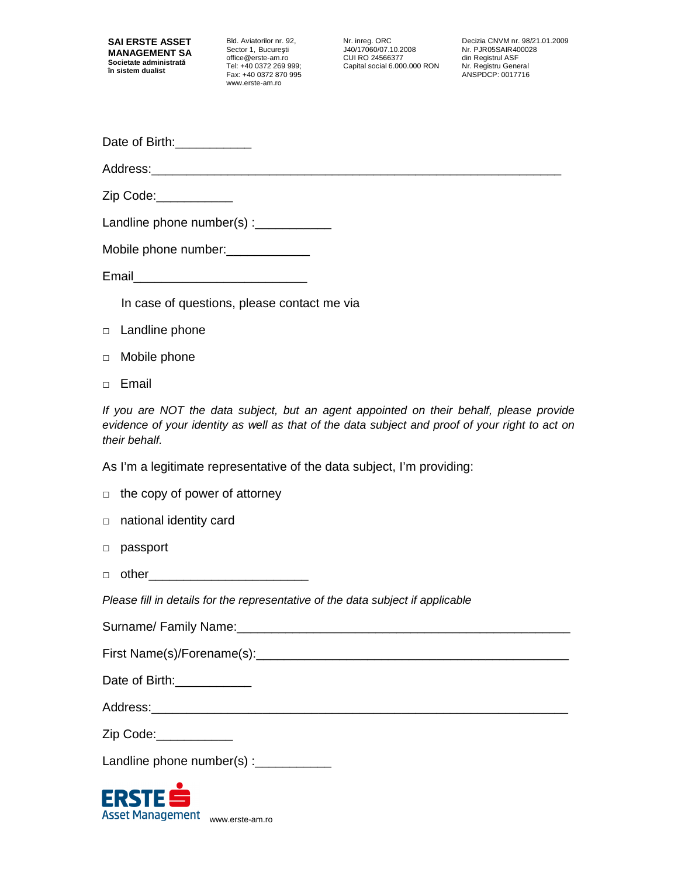Bld. Aviatorilor nr. 92, Sector 1, Bucureşti office@erste-am.ro Tel: +40 0372 269 999; Fax: +40 0372 870 995 www.erste-am.ro

Nr. inreg. ORC J40/17060/07.10.2008 CUI RO 24566377 Capital social 6.000.000 RON

Decizia CNVM nr. 98/21.01.2009 Nr. PJR05SAIR400028 din Registrul ASF Nr. Registru General ANSPDCP: 0017716

| Date of Birth: |  |
|----------------|--|
|----------------|--|

Address:

Zip Code:\_\_\_\_\_\_\_\_\_\_\_

Landline phone number(s) : $\frac{1}{2}$ 

Mobile phone number:\_\_\_\_\_\_\_\_\_\_\_\_

Email\_\_\_\_\_\_\_\_\_\_\_\_\_\_\_\_\_\_\_\_\_\_\_\_\_

In case of questions, please contact me via

- □ Landline phone
- □ Mobile phone
- □ Email

If you are NOT the data subject, but an agent appointed on their behalf, please provide evidence of your identity as well as that of the data subject and proof of your right to act on their behalf.

As I'm a legitimate representative of the data subject, I'm providing:

|  |  |  |  |  |  | $\Box$ the copy of power of attorney |
|--|--|--|--|--|--|--------------------------------------|
|--|--|--|--|--|--|--------------------------------------|

- □ national identity card
- □ passport
- $\Box$  other

Please fill in details for the representative of the data subject if applicable

Surname/ Family Name:

First Name(s)/Forename(s):\_\_\_\_\_\_\_\_\_\_\_\_\_\_\_\_\_\_\_\_\_\_\_\_\_\_\_\_\_\_\_\_\_\_\_\_\_\_\_\_\_\_\_\_\_

| Date of Birth: |  |
|----------------|--|
|----------------|--|

Address:

Zip Code:\_\_\_\_\_\_\_\_\_\_\_

Landline phone number(s) :\_\_\_\_\_\_\_\_\_\_\_

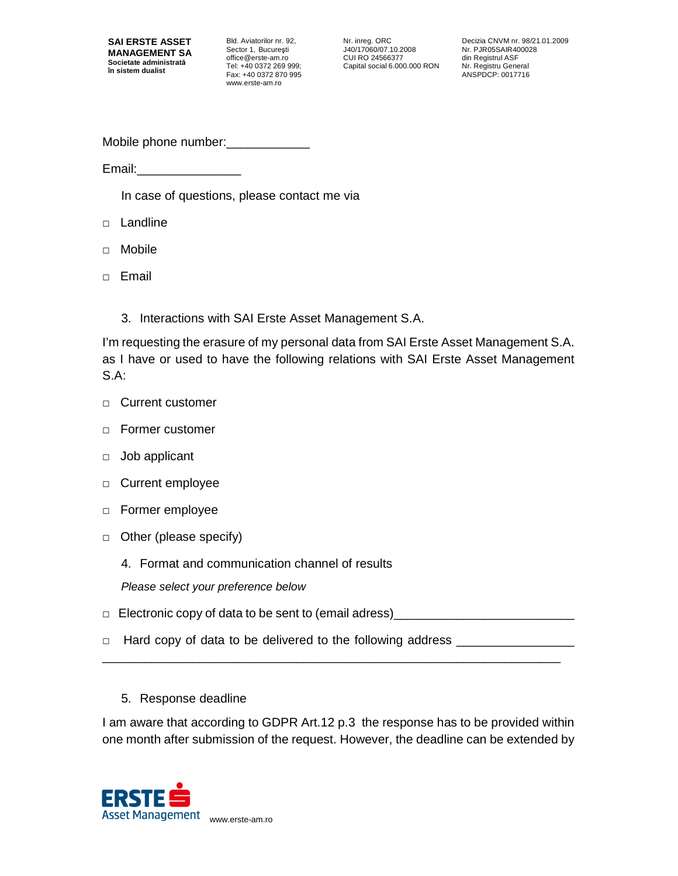Bld. Aviatorilor nr. 92, Sector 1, Bucureşti office@erste-am.ro Tel: +40 0372 269 999; Fax: +40 0372 870 995 www.erste-am.ro

Nr. inreg. ORC J40/17060/07.10.2008 CUI RO 24566377 Capital social 6.000.000 RON Decizia CNVM nr. 98/21.01.2009 Nr. PJR05SAIR400028 din Registrul ASF Nr. Registru General ANSPDCP: 0017716

Mobile phone number:

Email:\_\_\_\_\_\_\_\_\_\_\_\_\_\_\_

In case of questions, please contact me via

- □ Landline
- □ Mobile
- □ Email
	- 3. Interactions with SAI Erste Asset Management S.A.

I'm requesting the erasure of my personal data from SAI Erste Asset Management S.A. as I have or used to have the following relations with SAI Erste Asset Management S.A:

- □ Current customer
- □ Former customer
- □ Job applicant
- □ Current employee
- □ Former employee
- □ Other (please specify)
	- 4. Format and communication channel of results

Please select your preference below

 $\Box$  Electronic copy of data to be sent to (email adress)

 $\Box$  Hard copy of data to be delivered to the following address  $\Box$ 

\_\_\_\_\_\_\_\_\_\_\_\_\_\_\_\_\_\_\_\_\_\_\_\_\_\_\_\_\_\_\_\_\_\_\_\_\_\_\_\_\_\_\_\_\_\_\_\_\_\_\_\_\_\_\_\_\_\_\_\_\_\_\_\_\_\_

5. Response deadline

I am aware that according to GDPR Art.12 p.3 the response has to be provided within one month after submission of the request. However, the deadline can be extended by

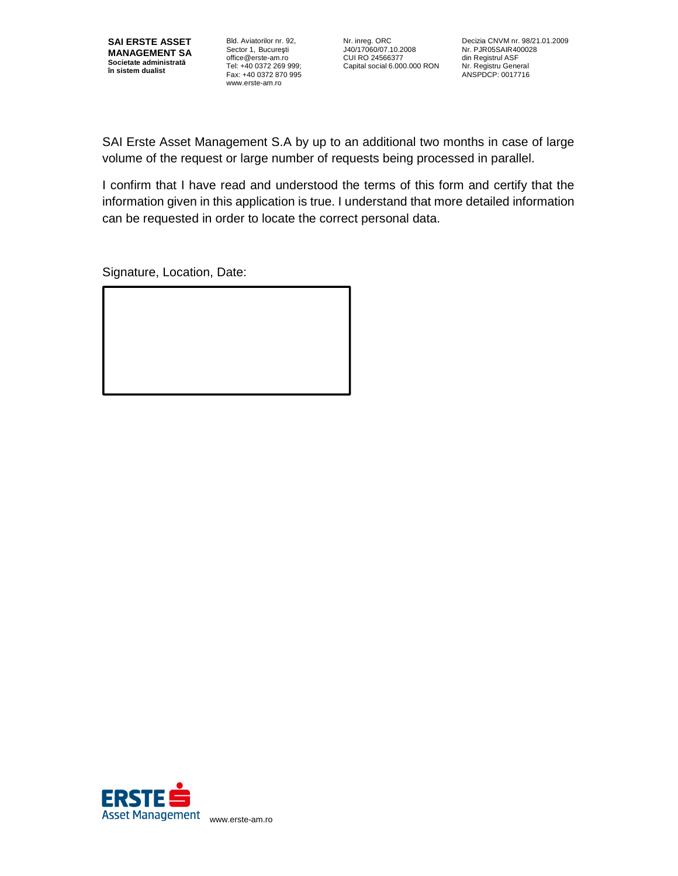

Bld. Aviatorilor nr. 92, Sector 1, Bucureşti office@erste-am.ro Tel: +40 0372 269 999; Fax: +40 0372 870 995 www.erste-am.ro

Nr. inreg. ORC J40/17060/07.10.2008 CUI RO 24566377 Capital social 6.000.000 RON

Decizia CNVM nr. 98/21.01.2009 Nr. PJR05SAIR400028 din Registrul ASF Nr. Registru General ANSPDCP: 0017716

SAI Erste Asset Management S.A by up to an additional two months in case of large volume of the request or large number of requests being processed in parallel.

I confirm that I have read and understood the terms of this form and certify that the information given in this application is true. I understand that more detailed information can be requested in order to locate the correct personal data.

Signature, Location, Date: